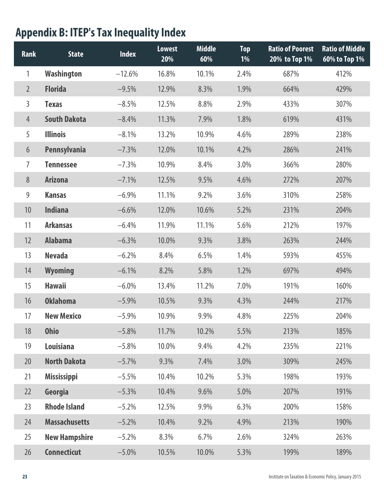## **Appendix B: ITEP's Tax Inequality Index**

| <b>Rank</b>    | <b>State</b>         | <b>Index</b> | <b>Lowest</b><br>20% | <b>Middle</b><br>60% | <b>Top</b><br>1% | <b>Ratio of Poorest</b><br>20% to Top 1% | <b>Ratio of Middle</b><br>60% to Top 1% |
|----------------|----------------------|--------------|----------------------|----------------------|------------------|------------------------------------------|-----------------------------------------|
| 1              | <b>Washington</b>    | $-12.6%$     | 16.8%                | 10.1%                | 2.4%             | 687%                                     | 412%                                    |
| $\overline{2}$ | <b>Florida</b>       | $-9.5%$      | 12.9%                | 8.3%                 | 1.9%             | 664%                                     | 429%                                    |
| 3              | <b>Texas</b>         | $-8.5%$      | 12.5%                | 8.8%                 | 2.9%             | 433%                                     | 307%                                    |
| $\overline{4}$ | <b>South Dakota</b>  | $-8.4%$      | 11.3%                | 7.9%                 | 1.8%             | 619%                                     | 431%                                    |
| 5              | <b>Illinois</b>      | $-8.1%$      | 13.2%                | 10.9%                | 4.6%             | 289%                                     | 238%                                    |
| 6              | <b>Pennsylvania</b>  | $-7.3%$      | 12.0%                | 10.1%                | 4.2%             | 286%                                     | 241%                                    |
| $\overline{7}$ | <b>Tennessee</b>     | $-7.3%$      | 10.9%                | 8.4%                 | 3.0%             | 366%                                     | 280%                                    |
| 8              | <b>Arizona</b>       | $-7.1%$      | 12.5%                | 9.5%                 | 4.6%             | 272%                                     | 207%                                    |
| 9              | <b>Kansas</b>        | $-6.9%$      | 11.1%                | 9.2%                 | 3.6%             | 310%                                     | 258%                                    |
| 10             | <b>Indiana</b>       | $-6.6%$      | 12.0%                | 10.6%                | 5.2%             | 231%                                     | 204%                                    |
| 11             | <b>Arkansas</b>      | $-6.4%$      | 11.9%                | 11.1%                | 5.6%             | 212%                                     | 197%                                    |
| 12             | <b>Alabama</b>       | $-6.3%$      | 10.0%                | 9.3%                 | 3.8%             | 263%                                     | 244%                                    |
| 13             | <b>Nevada</b>        | $-6.2%$      | 8.4%                 | 6.5%                 | 1.4%             | 593%                                     | 455%                                    |
| 14             | <b>Wyoming</b>       | $-6.1%$      | 8.2%                 | 5.8%                 | 1.2%             | 697%                                     | 494%                                    |
| 15             | <b>Hawaii</b>        | $-6.0\%$     | 13.4%                | 11.2%                | 7.0%             | 191%                                     | 160%                                    |
| 16             | <b>Oklahoma</b>      | $-5.9%$      | 10.5%                | 9.3%                 | 4.3%             | 244%                                     | 217%                                    |
| 17             | <b>New Mexico</b>    | $-5.9%$      | 10.9%                | 9.9%                 | 4.8%             | 225%                                     | 204%                                    |
| 18             | <b>Ohio</b>          | $-5.8%$      | 11.7%                | 10.2%                | 5.5%             | 213%                                     | 185%                                    |
| 19             | Louisiana            | $-5.8%$      | 10.0%                | 9.4%                 | 4.2%             | 235%                                     | 221%                                    |
| 20             | <b>North Dakota</b>  | $-5.7%$      | 9.3%                 | 7.4%                 | 3.0%             | 309%                                     | 245%                                    |
| 21             | <b>Mississippi</b>   | $-5.5%$      | 10.4%                | 10.2%                | 5.3%             | 198%                                     | 193%                                    |
| 22             | Georgia              | $-5.3%$      | 10.4%                | 9.6%                 | 5.0%             | 207%                                     | 191%                                    |
| 23             | <b>Rhode Island</b>  | $-5.2%$      | 12.5%                | 9.9%                 | 6.3%             | 200%                                     | 158%                                    |
| 24             | <b>Massachusetts</b> | $-5.2%$      | 10.4%                | 9.2%                 | 4.9%             | 213%                                     | 190%                                    |
| 25             | <b>New Hampshire</b> | $-5.2%$      | 8.3%                 | 6.7%                 | 2.6%             | 324%                                     | 263%                                    |
| 26             | <b>Connecticut</b>   | $-5.0\%$     | 10.5%                | 10.0%                | 5.3%             | 199%                                     | 189%                                    |